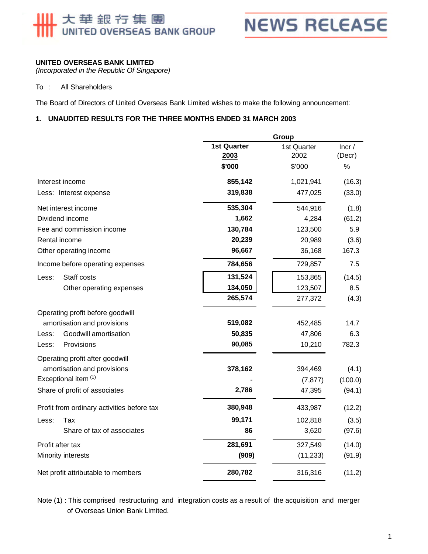# 大華銀行集團<br>UNITED OVERSEAS BANK GROUP

**NEWS RELEASE** 

#### **UNITED OVERSEAS BANK LIMITED**

*(Incorporated in the Republic Of Singapore)*

#### To : All Shareholders

The Board of Directors of United Overseas Bank Limited wishes to make the following announcement:

#### **1. UNAUDITED RESULTS FOR THE THREE MONTHS ENDED 31 MARCH 2003**

|                                            |                            | Group               |                 |  |
|--------------------------------------------|----------------------------|---------------------|-----------------|--|
|                                            | <b>1st Quarter</b><br>2003 | 1st Quarter<br>2002 | Incr/<br>(Decr) |  |
|                                            | \$'000                     | \$'000              | %               |  |
| Interest income                            | 855,142                    | 1,021,941           | (16.3)          |  |
| Less: Interest expense                     | 319,838                    | 477,025             | (33.0)          |  |
| Net interest income                        | 535,304                    | 544,916             | (1.8)           |  |
| Dividend income                            | 1,662                      | 4,284               | (61.2)          |  |
| Fee and commission income                  | 130,784                    | 123,500             | 5.9             |  |
| Rental income                              | 20,239                     | 20,989              | (3.6)           |  |
| Other operating income                     | 96,667                     | 36,168              | 167.3           |  |
| Income before operating expenses           | 784,656                    | 729,857             | 7.5             |  |
| Staff costs<br>Less:                       | 131,524                    | 153,865             | (14.5)          |  |
| Other operating expenses                   | 134,050                    | 123,507             | 8.5             |  |
|                                            | 265,574                    | 277,372             | (4.3)           |  |
| Operating profit before goodwill           |                            |                     |                 |  |
| amortisation and provisions                | 519,082                    | 452,485             | 14.7            |  |
| Goodwill amortisation<br>Less:             | 50,835                     | 47,806              | 6.3             |  |
| Provisions<br>Less:                        | 90,085                     | 10,210              | 782.3           |  |
| Operating profit after goodwill            |                            |                     |                 |  |
| amortisation and provisions                | 378,162                    | 394,469             | (4.1)           |  |
| Exceptional item (1)                       |                            | (7, 877)            | (100.0)         |  |
| Share of profit of associates              | 2,786                      | 47,395              | (94.1)          |  |
| Profit from ordinary activities before tax | 380,948                    | 433,987             | (12.2)          |  |
| Less:<br>Tax                               | 99,171                     | 102,818             | (3.5)           |  |
| Share of tax of associates                 | 86                         | 3,620               | (97.6)          |  |
| Profit after tax                           | 281,691                    | 327,549             | (14.0)          |  |
| Minority interests                         | (909)                      | (11, 233)           | (91.9)          |  |
| Net profit attributable to members         | 280,782                    | 316,316             | (11.2)          |  |

 of Overseas Union Bank Limited. Note (1) : This comprised restructuring and integration costs as a result of the acquisition and merger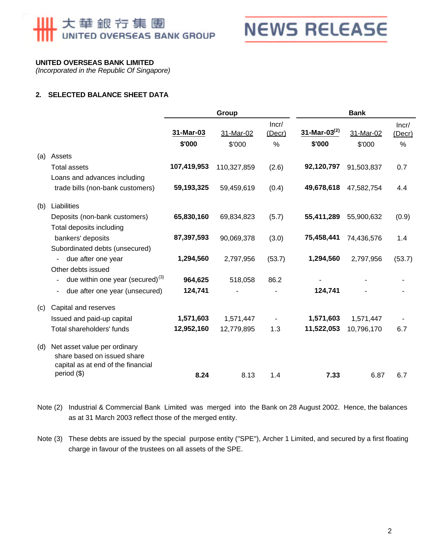## 大華銀行集團 UNITED OVERSEAS BANK GROUP



#### **UNITED OVERSEAS BANK LIMITED**

*(Incorporated in the Republic Of Singapore)*

#### **2. SELECTED BALANCE SHEET DATA**

|     |                                                                                                                  | Group       |             | <b>Bank</b>     |                    |            |                 |
|-----|------------------------------------------------------------------------------------------------------------------|-------------|-------------|-----------------|--------------------|------------|-----------------|
|     |                                                                                                                  | 31-Mar-03   | 31-Mar-02   | Incr/<br>(Decr) | 31-Mar-03 $^{(2)}$ | 31-Mar-02  | Incr/<br>(Decr) |
|     |                                                                                                                  | \$'000      | \$'000      | %               | \$'000             | \$'000     | %               |
| (a) | Assets                                                                                                           |             |             |                 |                    |            |                 |
|     | <b>Total assets</b>                                                                                              | 107,419,953 | 110,327,859 | (2.6)           | 92,120,797         | 91,503,837 | 0.7             |
|     | Loans and advances including                                                                                     |             |             |                 |                    |            |                 |
|     | trade bills (non-bank customers)                                                                                 | 59,193,325  | 59,459,619  | (0.4)           | 49,678,618         | 47,582,754 | 4.4             |
| (b) | Liabilities                                                                                                      |             |             |                 |                    |            |                 |
|     | Deposits (non-bank customers)                                                                                    | 65,830,160  | 69,834,823  | (5.7)           | 55,411,289         | 55,900,632 | (0.9)           |
|     | Total deposits including                                                                                         |             |             |                 |                    |            |                 |
|     | bankers' deposits                                                                                                | 87,397,593  | 90,069,378  | (3.0)           | 75,458,441         | 74,436,576 | 1.4             |
|     | Subordinated debts (unsecured)                                                                                   |             |             |                 |                    |            |                 |
|     | due after one year<br>$\blacksquare$                                                                             | 1,294,560   | 2,797,956   | (53.7)          | 1,294,560          | 2,797,956  | (53.7)          |
|     | Other debts issued                                                                                               |             |             |                 |                    |            |                 |
|     | due within one year (secured) $(3)$<br>$\overline{\phantom{0}}$                                                  | 964,625     | 518,058     | 86.2            |                    |            |                 |
|     | due after one year (unsecured)                                                                                   | 124,741     |             |                 | 124,741            |            |                 |
| (c) | Capital and reserves                                                                                             |             |             |                 |                    |            |                 |
|     | Issued and paid-up capital                                                                                       | 1,571,603   | 1,571,447   |                 | 1,571,603          | 1,571,447  |                 |
|     | Total shareholders' funds                                                                                        | 12,952,160  | 12,779,895  | 1.3             | 11,522,053         | 10,796,170 | 6.7             |
| (d) | Net asset value per ordinary<br>share based on issued share<br>capital as at end of the financial<br>period (\$) |             |             |                 |                    |            |                 |
|     |                                                                                                                  | 8.24        | 8.13        | 1.4             | 7.33               | 6.87       | 6.7             |

Note (2) Industrial & Commercial Bank Limited was merged into the Bank on 28 August 2002. Hence, the balances as at 31 March 2003 reflect those of the merged entity.

Note (3) These debts are issued by the special purpose entity ("SPE"), Archer 1 Limited, and secured by a first floating charge in favour of the trustees on all assets of the SPE.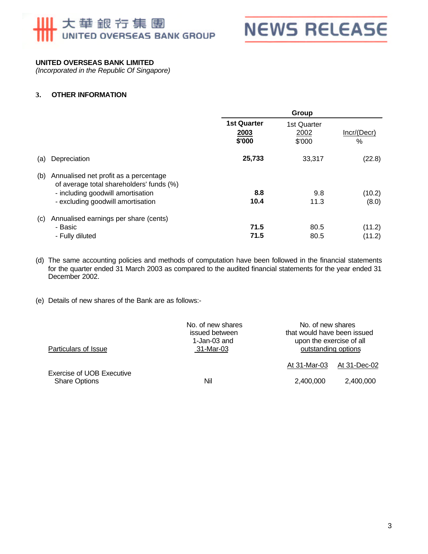## 大華銀行集團 UNITED OVERSEAS BANK GROUP



#### **UNITED OVERSEAS BANK LIMITED**

*(Incorporated in the Republic Of Singapore)*

#### **3. OTHER INFORMATION**

|     |                                                                                                                                                             | Group                                |                               |                  |
|-----|-------------------------------------------------------------------------------------------------------------------------------------------------------------|--------------------------------------|-------------------------------|------------------|
|     |                                                                                                                                                             | <b>1st Quarter</b><br>2003<br>\$'000 | 1st Quarter<br>2002<br>\$'000 | Incr/(Decr)<br>% |
| (a) | Depreciation                                                                                                                                                | 25,733                               | 33,317                        | (22.8)           |
| (b) | Annualised net profit as a percentage<br>of average total shareholders' funds (%)<br>- including goodwill amortisation<br>- excluding goodwill amortisation | 8.8<br>10.4                          | 9.8<br>11.3                   | (10.2)<br>(8.0)  |
| (c) | Annualised earnings per share (cents)<br>- Basic<br>- Fully diluted                                                                                         | 71.5<br>71.5                         | 80.5<br>80.5                  | (11.2)<br>(11.2) |

(d) The same accounting policies and methods of computation have been followed in the financial statements for the quarter ended 31 March 2003 as compared to the audited financial statements for the year ended 31 December 2002.

(e) Details of new shares of the Bank are as follows:-

| Particulars of Issue                                     | No. of new shares<br>issued between<br>1-Jan-03 and<br>31-Mar-03 |              | No. of new shares<br>that would have been issued<br>upon the exercise of all<br>outstanding options |  |
|----------------------------------------------------------|------------------------------------------------------------------|--------------|-----------------------------------------------------------------------------------------------------|--|
|                                                          |                                                                  | At 31-Mar-03 | At 31-Dec-02                                                                                        |  |
| <b>Exercise of UOB Executive</b><br><b>Share Options</b> | Nil                                                              | 2.400.000    | 2.400.000                                                                                           |  |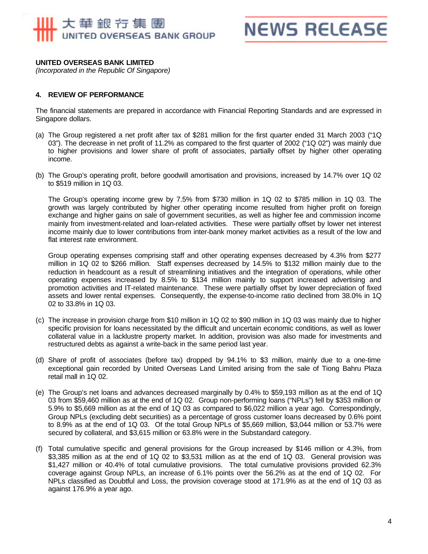## 大華銀行集團 UNITED OVERSEAS BANK GROUP

## **NEWS RELEASE**

#### **UNITED OVERSEAS BANK LIMITED**

*(Incorporated in the Republic Of Singapore)*

#### **4. REVIEW OF PERFORMANCE**

The financial statements are prepared in accordance with Financial Reporting Standards and are expressed in Singapore dollars.

- (a) The Group registered a net profit after tax of \$281 million for the first quarter ended 31 March 2003 ("1Q 03"). The decrease in net profit of 11.2% as compared to the first quarter of 2002 ("1Q 02") was mainly due to higher provisions and lower share of profit of associates, partially offset by higher other operating income.
- (b) The Group's operating profit, before goodwill amortisation and provisions, increased by 14.7% over 1Q 02 to \$519 million in 1Q 03.

The Group's operating income grew by 7.5% from \$730 million in 1Q 02 to \$785 million in 1Q 03. The growth was largely contributed by higher other operating income resulted from higher profit on foreign exchange and higher gains on sale of government securities, as well as higher fee and commission income mainly from investment-related and loan-related activities. These were partially offset by lower net interest income mainly due to lower contributions from inter-bank money market activities as a result of the low and flat interest rate environment.

Group operating expenses comprising staff and other operating expenses decreased by 4.3% from \$277 million in 1Q 02 to \$266 million. Staff expenses decreased by 14.5% to \$132 million mainly due to the reduction in headcount as a result of streamlining initiatives and the integration of operations, while other operating expenses increased by 8.5% to \$134 million mainly to support increased advertising and promotion activities and IT-related maintenance. These were partially offset by lower depreciation of fixed assets and lower rental expenses. Consequently, the expense-to-income ratio declined from 38.0% in 1Q 02 to 33.8% in 1Q 03.

- (c) The increase in provision charge from \$10 million in 1Q 02 to \$90 million in 1Q 03 was mainly due to higher specific provision for loans necessitated by the difficult and uncertain economic conditions, as well as lower collateral value in a lacklustre property market. In addition, provision was also made for investments and restructured debts as against a write-back in the same period last year.
- (d) Share of profit of associates (before tax) dropped by 94.1% to \$3 million, mainly due to a one-time exceptional gain recorded by United Overseas Land Limited arising from the sale of Tiong Bahru Plaza retail mall in 1Q 02.
- (e) The Group's net loans and advances decreased marginally by 0.4% to \$59,193 million as at the end of 1Q 03 from \$59,460 million as at the end of 1Q 02. Group non-performing loans ("NPLs") fell by \$353 million or 5.9% to \$5,669 million as at the end of 1Q 03 as compared to \$6,022 million a year ago. Correspondingly, Group NPLs (excluding debt securities) as a percentage of gross customer loans decreased by 0.6% point to 8.9% as at the end of 1Q 03. Of the total Group NPLs of \$5,669 million, \$3,044 million or 53.7% were secured by collateral, and \$3,615 million or 63.8% were in the Substandard category.
- (f) Total cumulative specific and general provisions for the Group increased by \$146 million or 4.3%, from \$3,385 million as at the end of 1Q 02 to \$3,531 million as at the end of 1Q 03. General provision was \$1,427 million or 40.4% of total cumulative provisions. The total cumulative provisions provided 62.3% coverage against Group NPLs, an increase of 6.1% points over the 56.2% as at the end of 1Q 02. For NPLs classified as Doubtful and Loss, the provision coverage stood at 171.9% as at the end of 1Q 03 as against 176.9% a year ago.